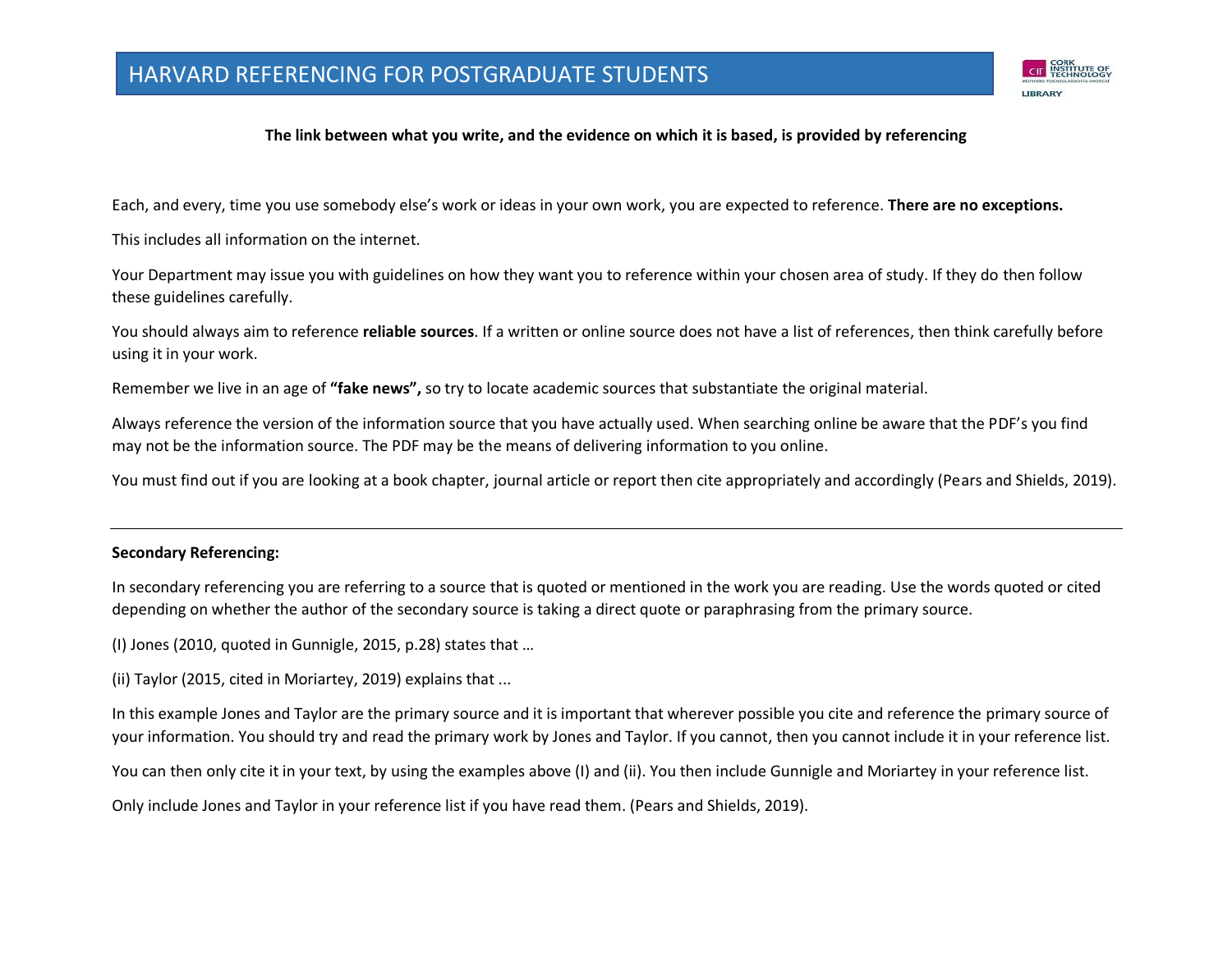

#### **The link between what you write, and the evidence on which it is based, is provided by referencing**

Each, and every, time you use somebody else's work or ideas in your own work, you are expected to reference. **There are no exceptions.**

This includes all information on the internet.

Your Department may issue you with guidelines on how they want you to reference within your chosen area of study. If they do then follow these guidelines carefully.

You should always aim to reference **reliable sources**. If a written or online source does not have a list of references, then think carefully before using it in your work.

Remember we live in an age of **"fake news",** so try to locate academic sources that substantiate the original material.

Always reference the version of the information source that you have actually used. When searching online be aware that the PDF's you find may not be the information source. The PDF may be the means of delivering information to you online.

You must find out if you are looking at a book chapter, journal article or report then cite appropriately and accordingly (Pears and Shields, 2019).

#### **Secondary Referencing:**

In secondary referencing you are referring to a source that is quoted or mentioned in the work you are reading. Use the words quoted or cited depending on whether the author of the secondary source is taking a direct quote or paraphrasing from the primary source.

(I) Jones (2010, quoted in Gunnigle, 2015, p.28) states that …

(ii) Taylor (2015, cited in Moriartey, 2019) explains that ...

In this example Jones and Taylor are the primary source and it is important that wherever possible you cite and reference the primary source of your information. You should try and read the primary work by Jones and Taylor. If you cannot, then you cannot include it in your reference list.

You can then only cite it in your text, by using the examples above (I) and (ii). You then include Gunnigle and Moriartey in your reference list.

Only include Jones and Taylor in your reference list if you have read them. (Pears and Shields, 2019).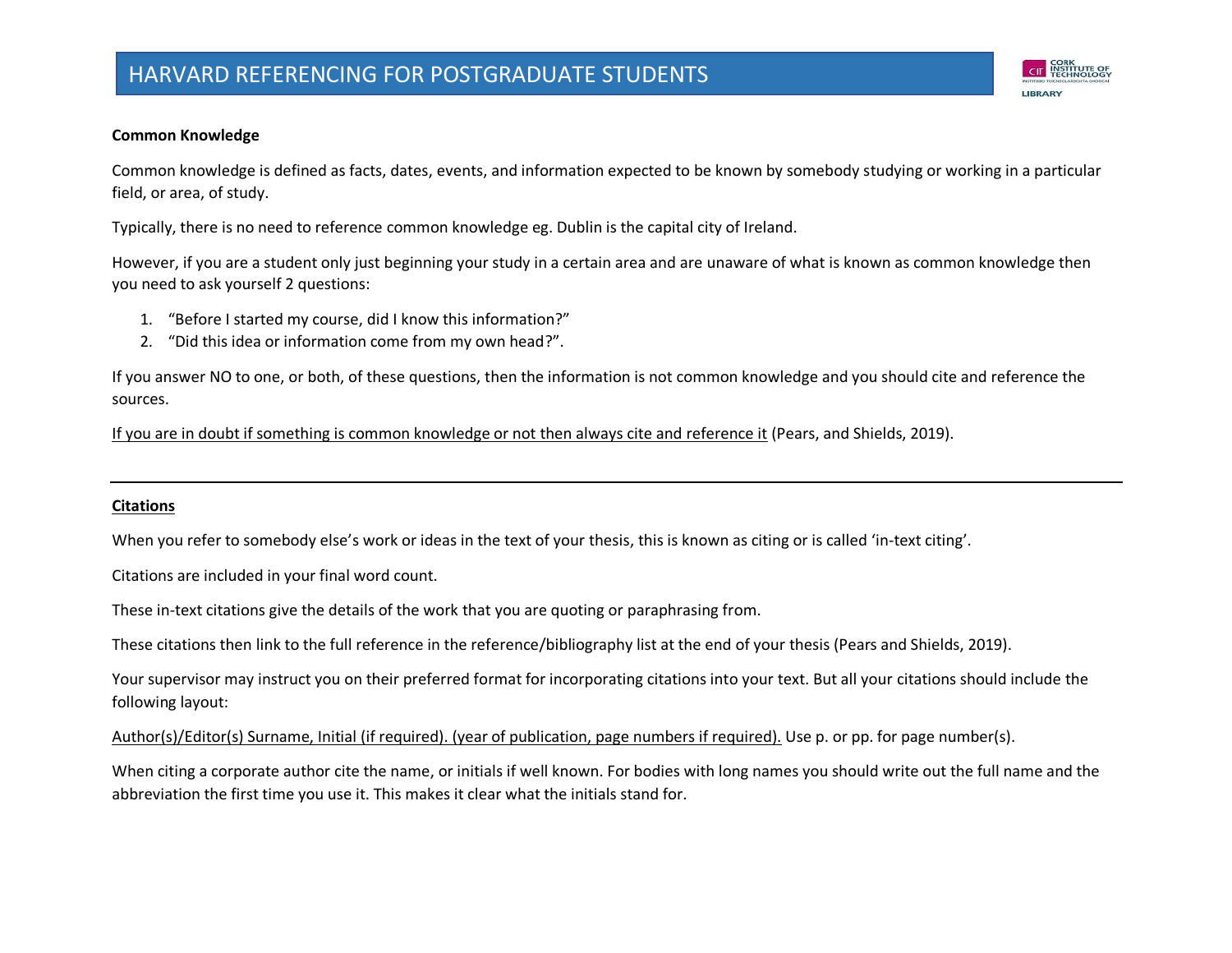# HARVARD REFERENCING FOR POSTGRADUATE STUDENTS



#### **Common Knowledge**

Common knowledge is defined as facts, dates, events, and information expected to be known by somebody studying or working in a particular field, or area, of study.

Typically, there is no need to reference common knowledge eg. Dublin is the capital city of Ireland.

However, if you are a student only just beginning your study in a certain area and are unaware of what is known as common knowledge then you need to ask yourself 2 questions:

- 1. "Before I started my course, did I know this information?"
- 2. "Did this idea or information come from my own head?".

If you answer NO to one, or both, of these questions, then the information is not common knowledge and you should cite and reference the sources.

If you are in doubt if something is common knowledge or not then always cite and reference it (Pears, and Shields, 2019).

#### **Citations**

When you refer to somebody else's work or ideas in the text of your thesis, this is known as citing or is called 'in-text citing'.

Citations are included in your final word count.

These in-text citations give the details of the work that you are quoting or paraphrasing from.

These citations then link to the full reference in the reference/bibliography list at the end of your thesis (Pears and Shields, 2019).

Your supervisor may instruct you on their preferred format for incorporating citations into your text. But all your citations should include the following layout:

Author(s)/Editor(s) Surname, Initial (if required). (year of publication, page numbers if required). Use p. or pp. for page number(s).

When citing a corporate author cite the name, or initials if well known. For bodies with long names you should write out the full name and the abbreviation the first time you use it. This makes it clear what the initials stand for.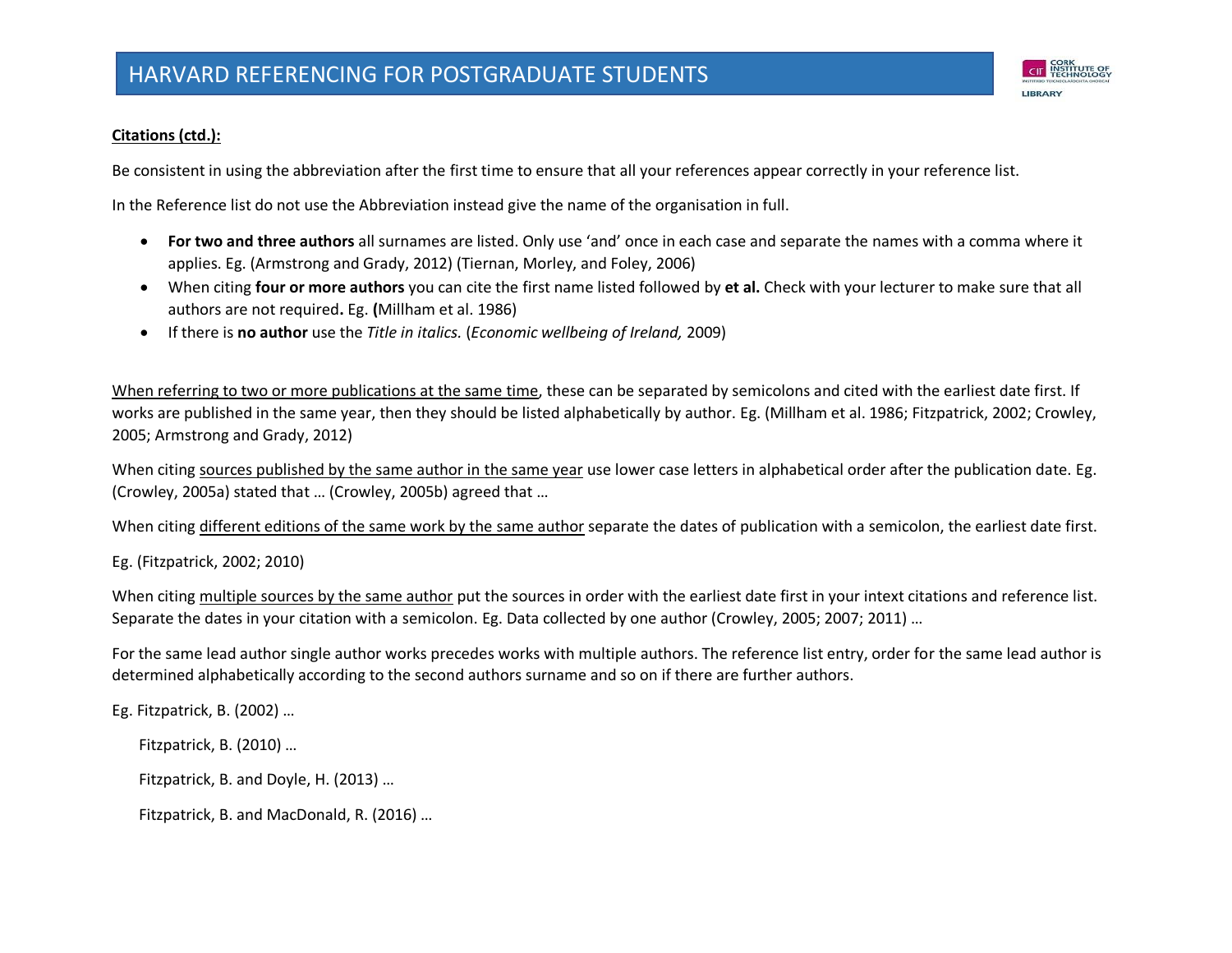

## **Citations (ctd.):**

Be consistent in using the abbreviation after the first time to ensure that all your references appear correctly in your reference list.

In the Reference list do not use the Abbreviation instead give the name of the organisation in full.

- **For two and three authors** all surnames are listed. Only use 'and' once in each case and separate the names with a comma where it applies. Eg. (Armstrong and Grady, 2012) (Tiernan, Morley, and Foley, 2006)
- When citing **four or more authors** you can cite the first name listed followed by **et al.** Check with your lecturer to make sure that all authors are not required**.** Eg. **(**Millham et al. 1986)
- If there is **no author** use the *Title in italics.* (*Economic wellbeing of Ireland,* 2009)

When referring to two or more publications at the same time, these can be separated by semicolons and cited with the earliest date first. If works are published in the same year, then they should be listed alphabetically by author. Eg. (Millham et al. 1986; Fitzpatrick, 2002; Crowley, 2005; Armstrong and Grady, 2012)

When citing sources published by the same author in the same year use lower case letters in alphabetical order after the publication date. Eg. (Crowley, 2005a) stated that … (Crowley, 2005b) agreed that …

When citing different editions of the same work by the same author separate the dates of publication with a semicolon, the earliest date first.

Eg. (Fitzpatrick, 2002; 2010)

When citing multiple sources by the same author put the sources in order with the earliest date first in your intext citations and reference list. Separate the dates in your citation with a semicolon. Eg. Data collected by one author (Crowley, 2005; 2007; 2011) …

For the same lead author single author works precedes works with multiple authors. The reference list entry, order for the same lead author is determined alphabetically according to the second authors surname and so on if there are further authors.

Eg. Fitzpatrick, B. (2002) …

Fitzpatrick, B. (2010) …

Fitzpatrick, B. and Doyle, H. (2013) …

Fitzpatrick, B. and MacDonald, R. (2016) …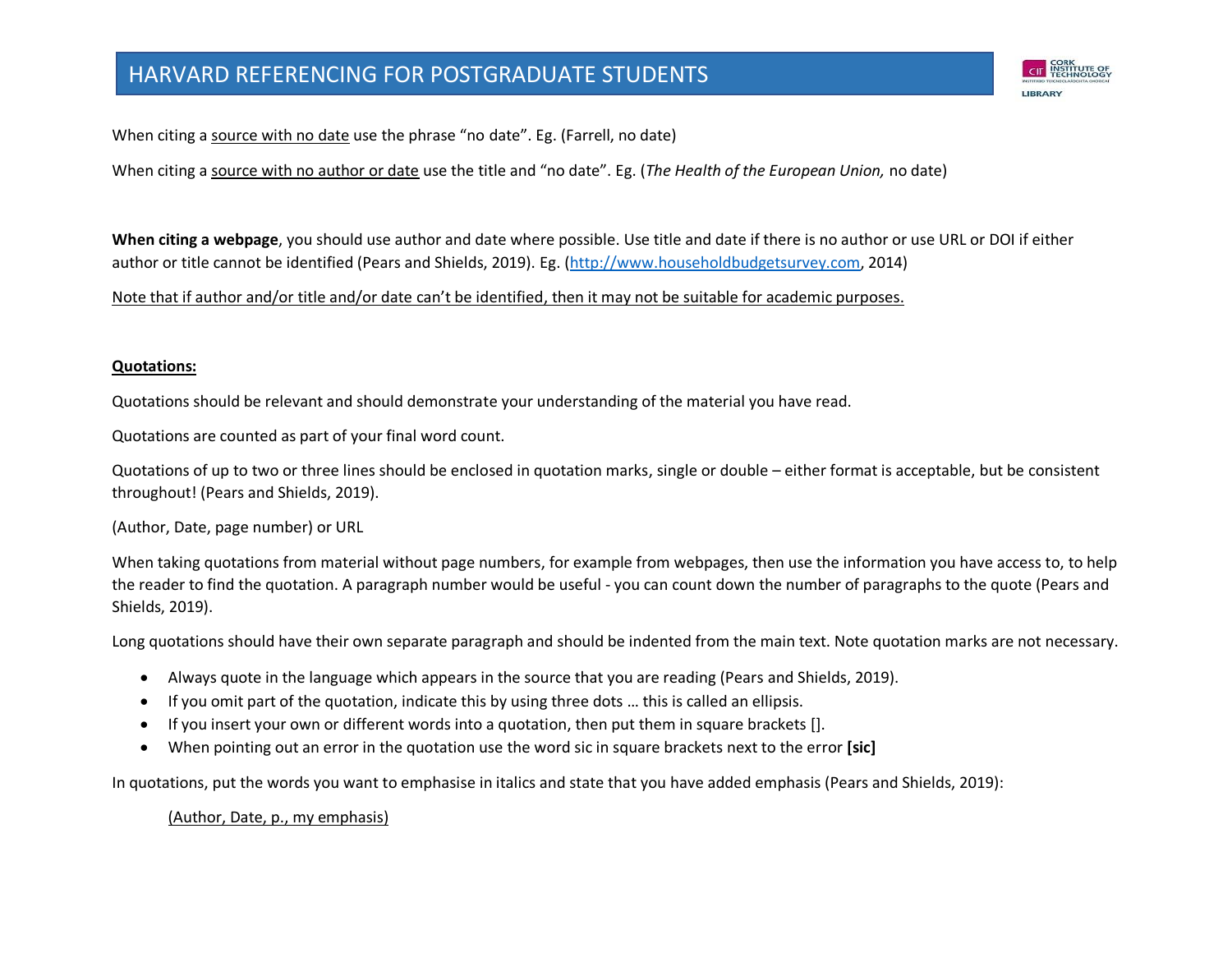When citing a source with no date use the phrase "no date". Eg. (Farrell, no date)

When citing a source with no author or date use the title and "no date". Eg. (*The Health of the European Union,* no date)

**When citing a webpage**, you should use author and date where possible. Use title and date if there is no author or use URL or DOI if either author or title cannot be identified (Pears and Shields, 2019). Eg. [\(http://www.householdbudgetsurvey.com,](http://www.householdbudgetsurvey.com/) 2014)

Note that if author and/or title and/or date can't be identified, then it may not be suitable for academic purposes.

# **Quotations:**

Quotations should be relevant and should demonstrate your understanding of the material you have read.

Quotations are counted as part of your final word count.

Quotations of up to two or three lines should be enclosed in quotation marks, single or double – either format is acceptable, but be consistent throughout! (Pears and Shields, 2019).

(Author, Date, page number) or URL

When taking quotations from material without page numbers, for example from webpages, then use the information you have access to, to help the reader to find the quotation. A paragraph number would be useful - you can count down the number of paragraphs to the quote (Pears and Shields, 2019).

Long quotations should have their own separate paragraph and should be indented from the main text. Note quotation marks are not necessary.

- Always quote in the language which appears in the source that you are reading (Pears and Shields, 2019).
- If you omit part of the quotation, indicate this by using three dots … this is called an ellipsis.
- If you insert your own or different words into a quotation, then put them in square brackets [].
- When pointing out an error in the quotation use the word sic in square brackets next to the error **[sic]**

In quotations, put the words you want to emphasise in italics and state that you have added emphasis (Pears and Shields, 2019):

(Author, Date, p., my emphasis)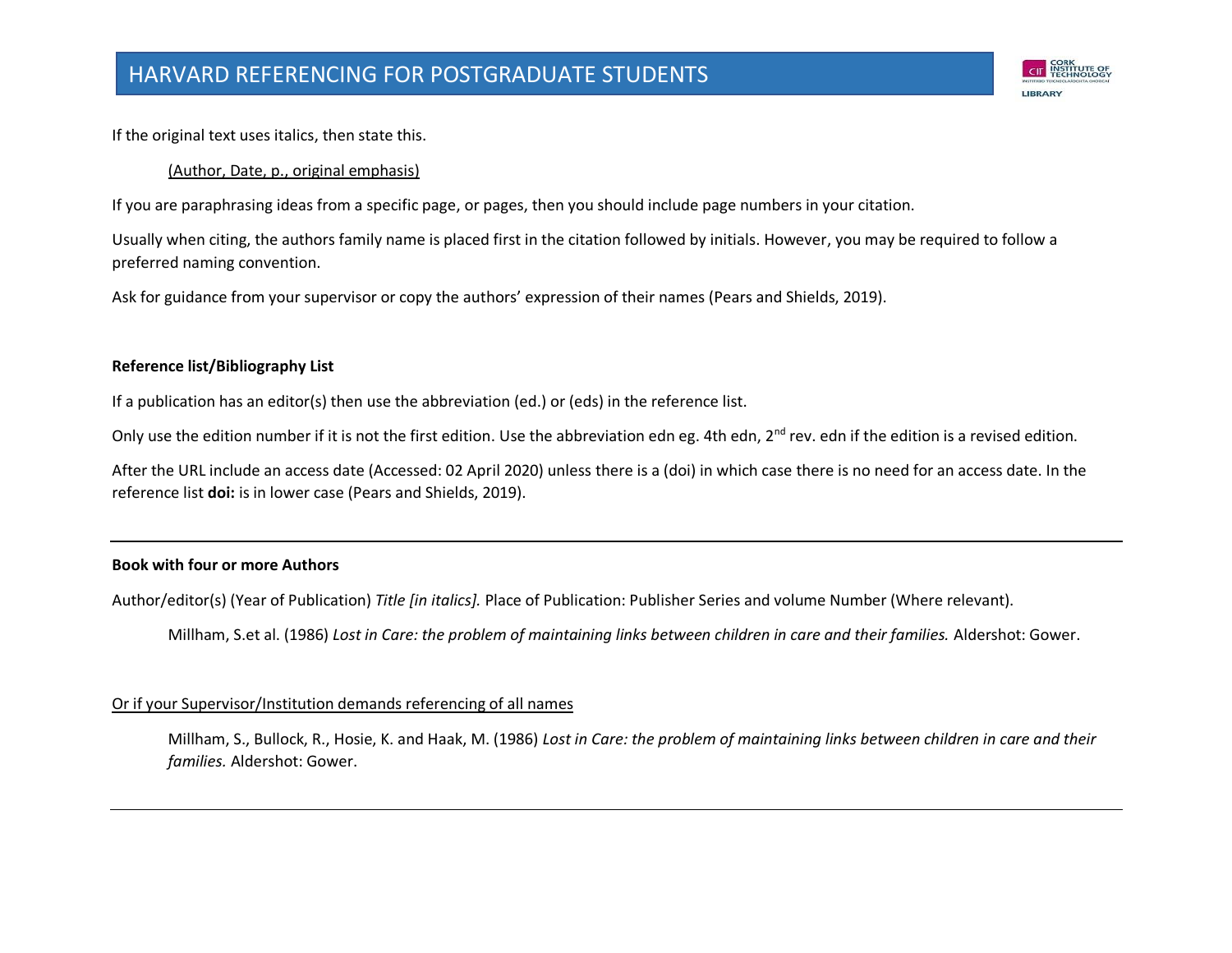

If the original text uses italics, then state this.

#### (Author, Date, p., original emphasis)

If you are paraphrasing ideas from a specific page, or pages, then you should include page numbers in your citation.

Usually when citing, the authors family name is placed first in the citation followed by initials. However, you may be required to follow a preferred naming convention.

Ask for guidance from your supervisor or copy the authors' expression of their names (Pears and Shields, 2019).

### **Reference list/Bibliography List**

If a publication has an editor(s) then use the abbreviation (ed.) or (eds) in the reference list.

Only use the edition number if it is not the first edition. Use the abbreviation edn eg. 4th edn, 2<sup>nd</sup> rev. edn if the edition is a revised edition.

After the URL include an access date (Accessed: 02 April 2020) unless there is a (doi) in which case there is no need for an access date. In the reference list **doi:** is in lower case (Pears and Shields, 2019).

# **Book with four or more Authors**

Author/editor(s) (Year of Publication) *Title [in italics].* Place of Publication: Publisher Series and volume Number (Where relevant).

Millham, S.et al. (1986) *Lost in Care: the problem of maintaining links between children in care and their families.* Aldershot: Gower.

# Or if your Supervisor/Institution demands referencing of all names

Millham, S., Bullock, R., Hosie, K. and Haak, M. (1986) *Lost in Care: the problem of maintaining links between children in care and their families.* Aldershot: Gower.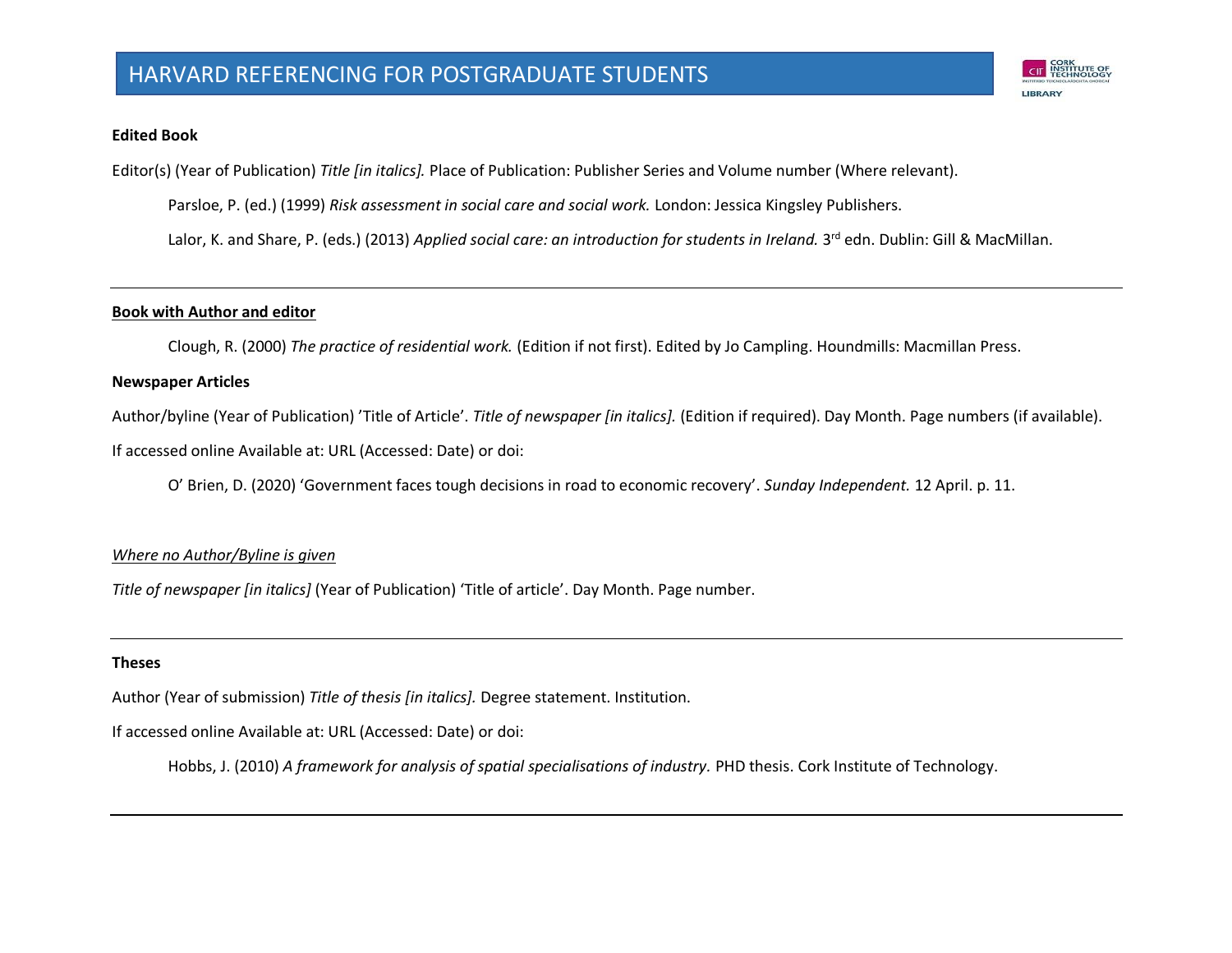

#### **Edited Book**

Editor(s) (Year of Publication) *Title [in italics].* Place of Publication: Publisher Series and Volume number (Where relevant).

Parsloe, P. (ed.) (1999) *Risk assessment in social care and social work.* London: Jessica Kingsley Publishers.

Lalor, K. and Share, P. (eds.) (2013) Applied social care: an introduction for students in Ireland. 3<sup>rd</sup> edn. Dublin: Gill & MacMillan.

#### **Book with Author and editor**

Clough, R. (2000) *The practice of residential work.* (Edition if not first). Edited by Jo Campling. Houndmills: Macmillan Press.

#### **Newspaper Articles**

Author/byline (Year of Publication) 'Title of Article'. *Title of newspaper [in italics].* (Edition if required). Day Month. Page numbers (if available).

If accessed online Available at: URL (Accessed: Date) or doi:

O' Brien, D. (2020) 'Government faces tough decisions in road to economic recovery'. *Sunday Independent.* 12 April. p. 11.

#### *Where no Author/Byline is given*

*Title of newspaper [in italics]* (Year of Publication) 'Title of article'. Day Month. Page number.

#### **Theses**

Author (Year of submission) *Title of thesis [in italics].* Degree statement. Institution.

If accessed online Available at: URL (Accessed: Date) or doi:

Hobbs, J. (2010) *A framework for analysis of spatial specialisations of industry.* PHD thesis. Cork Institute of Technology.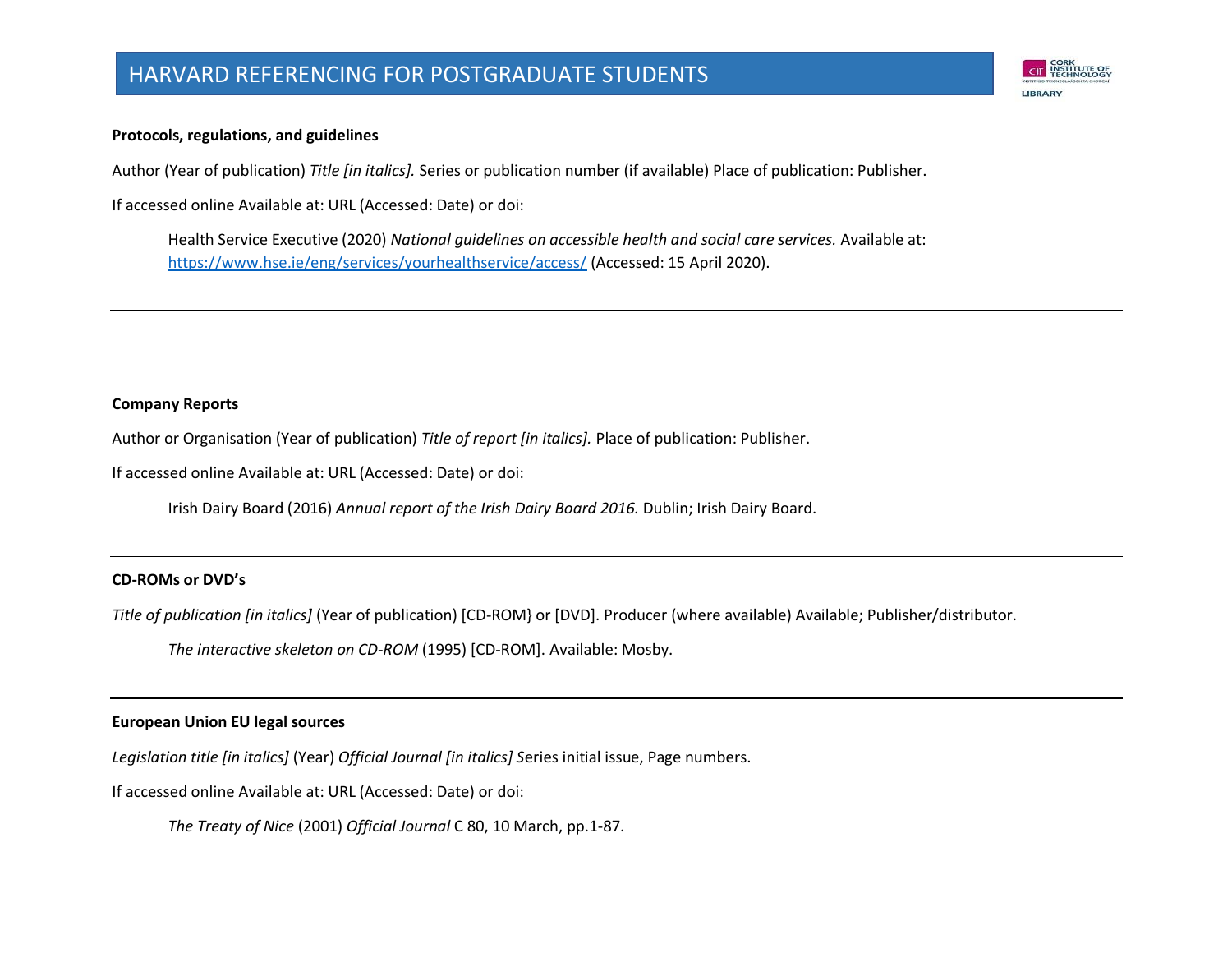# HARVARD REFERENCING FOR POSTGRADUATE STUDENTS



#### **Protocols, regulations, and guidelines**

Author (Year of publication) *Title [in italics].* Series or publication number (if available) Place of publication: Publisher.

If accessed online Available at: URL (Accessed: Date) or doi:

Health Service Executive (2020) *National guidelines on accessible health and social care services.* Available at: <https://www.hse.ie/eng/services/yourhealthservice/access/> (Accessed: 15 April 2020).

#### **Company Reports**

Author or Organisation (Year of publication) *Title of report [in italics].* Place of publication: Publisher.

If accessed online Available at: URL (Accessed: Date) or doi:

Irish Dairy Board (2016) *Annual report of the Irish Dairy Board 2016.* Dublin; Irish Dairy Board.

#### **CD-ROMs or DVD's**

*Title of publication [in italics]* (Year of publication) [CD-ROM} or [DVD]. Producer (where available) Available; Publisher/distributor.

*The interactive skeleton on CD-ROM* (1995) [CD-ROM]. Available: Mosby.

#### **European Union EU legal sources**

*Legislation title [in italics]* (Year) *Official Journal [in italics] S*eries initial issue, Page numbers.

If accessed online Available at: URL (Accessed: Date) or doi:

*The Treaty of Nice* (2001) *Official Journal* C 80, 10 March, pp.1-87.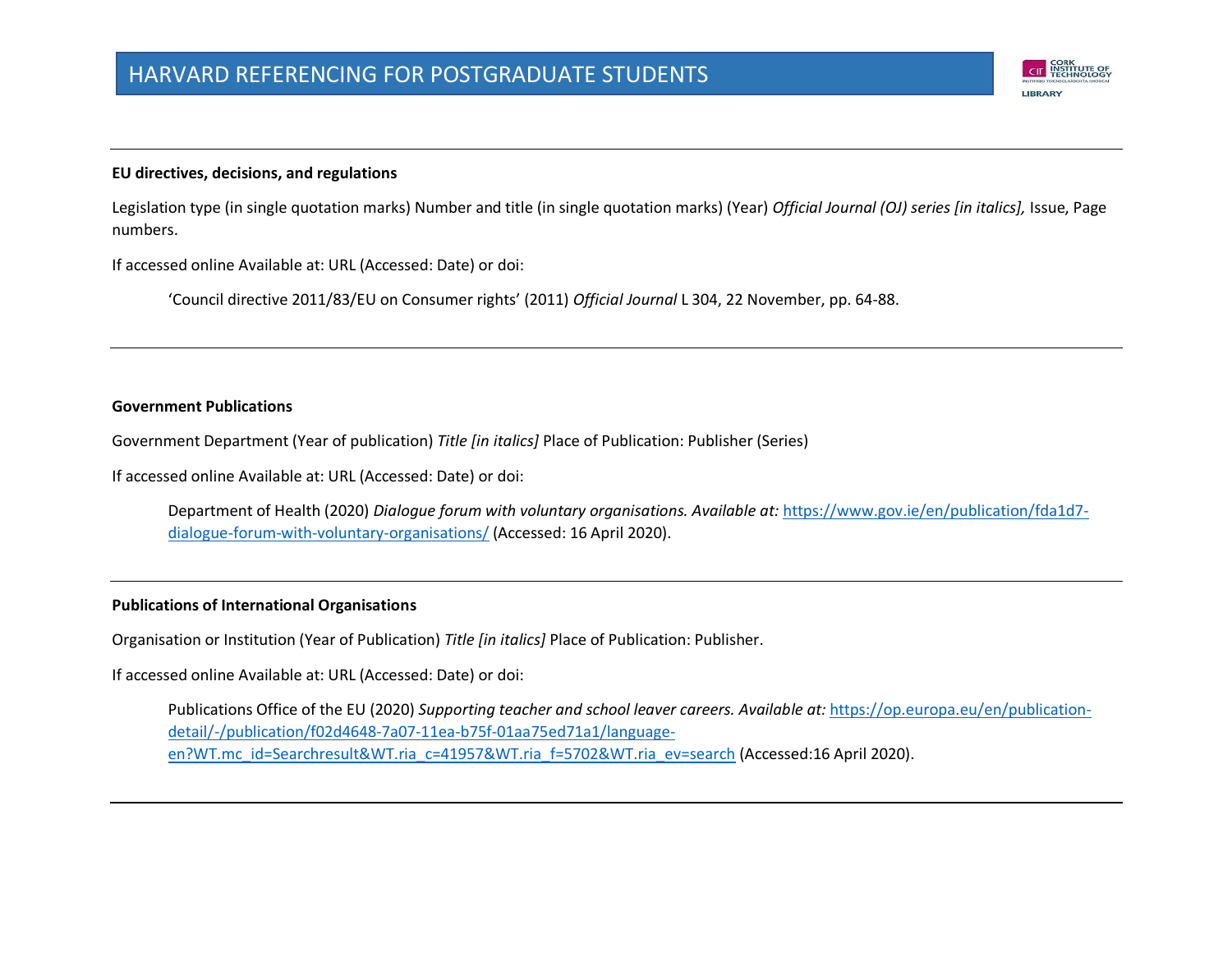#### **EU directives, decisions, and regulations**

Legislation type (in single quotation marks) Number and title (in single quotation marks) (Year) *Official Journal (OJ) series [in italics],* Issue, Page numbers.

CIT INSTITUTE OF

LIBRARY

If accessed online Available at: URL (Accessed: Date) or doi:

'Council directive 2011/83/EU on Consumer rights' (2011) *Official Journal* L 304, 22 November, pp. 64-88.

#### **Government Publications**

Government Department (Year of publication) *Title [in italics]* Place of Publication: Publisher (Series)

If accessed online Available at: URL (Accessed: Date) or doi:

Department of Health (2020) *Dialogue forum with voluntary organisations. Available at:* [https://www.gov.ie/en/publication/fda1d7](https://www.gov.ie/en/publication/fda1d7-dialogue-forum-with-voluntary-organisations/) [dialogue-forum-with-voluntary-organisations/](https://www.gov.ie/en/publication/fda1d7-dialogue-forum-with-voluntary-organisations/) (Accessed: 16 April 2020).

#### **Publications of International Organisations**

Organisation or Institution (Year of Publication) *Title [in italics]* Place of Publication: Publisher.

If accessed online Available at: URL (Accessed: Date) or doi:

Publications Office of the EU (2020) Supporting teacher and school leaver careers. Available at: [https://op.europa.eu/en/publication](https://op.europa.eu/en/publication-detail/-/publication/f02d4648-7a07-11ea-b75f-01aa75ed71a1/language-en?WT.mc_id=Searchresult&WT.ria_c=41957&WT.ria_f=5702&WT.ria_ev=search)[detail/-/publication/f02d4648-7a07-11ea-b75f-01aa75ed71a1/language](https://op.europa.eu/en/publication-detail/-/publication/f02d4648-7a07-11ea-b75f-01aa75ed71a1/language-en?WT.mc_id=Searchresult&WT.ria_c=41957&WT.ria_f=5702&WT.ria_ev=search)[en?WT.mc\\_id=Searchresult&WT.ria\\_c=41957&WT.ria\\_f=5702&WT.ria\\_ev=search](https://op.europa.eu/en/publication-detail/-/publication/f02d4648-7a07-11ea-b75f-01aa75ed71a1/language-en?WT.mc_id=Searchresult&WT.ria_c=41957&WT.ria_f=5702&WT.ria_ev=search) (Accessed:16 April 2020).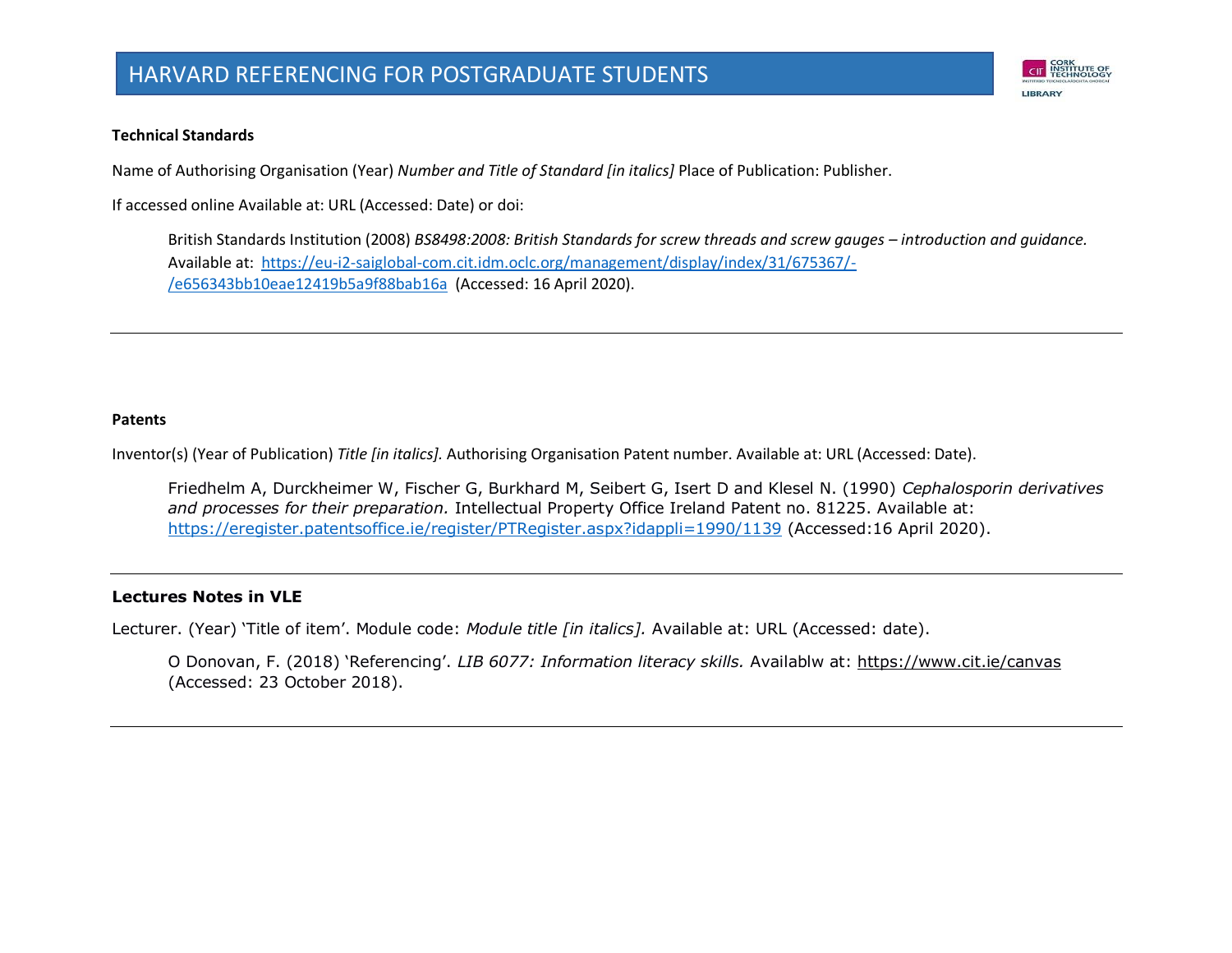

#### **Technical Standards**

Name of Authorising Organisation (Year) *Number and Title of Standard [in italics]* Place of Publication: Publisher.

If accessed online Available at: URL (Accessed: Date) or doi:

British Standards Institution (2008) *BS8498:2008: British Standards for screw threads and screw gauges – introduction and quidance.* Available at:[https://eu-i2-saiglobal-com.cit.idm.oclc.org/management/display/index/31/675367/-](https://eu-i2-saiglobal-com.cit.idm.oclc.org/management/display/index/31/675367/-/e656343bb10eae12419b5a9f88bab16a) [/e656343bb10eae12419b5a9f88bab16a](https://eu-i2-saiglobal-com.cit.idm.oclc.org/management/display/index/31/675367/-/e656343bb10eae12419b5a9f88bab16a) (Accessed: 16 April 2020).

#### **Patents**

Inventor(s) (Year of Publication) *Title [in italics].* Authorising Organisation Patent number. Available at: URL (Accessed: Date).

Friedhelm A, Durckheimer W, Fischer G, Burkhard M, Seibert G, Isert D and Klesel N. (1990) *Cephalosporin derivatives and processes for their preparation.* Intellectual Property Office Ireland Patent no. 81225. Available at: <https://eregister.patentsoffice.ie/register/PTRegister.aspx?idappli=1990/1139> (Accessed:16 April 2020).

#### **Lectures Notes in VLE**

Lecturer. (Year) 'Title of item'. Module code: *Module title [in italics].* Available at: URL (Accessed: date).

O Donovan, F. (2018) 'Referencing'. *LIB 6077: Information literacy skills.* Availablw at:<https://www.cit.ie/canvas> (Accessed: 23 October 2018).